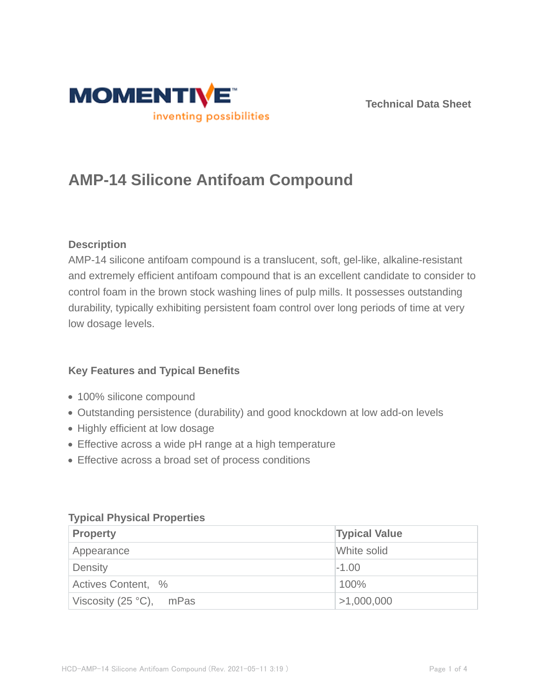

**Technical Data Sheet**

# **AMP-14 Silicone Antifoam Compound**

# **Description**

AMP-14 silicone antifoam compound is a translucent, soft, gel-like, alkaline-resistant and extremely efficient antifoam compound that is an excellent candidate to consider to control foam in the brown stock washing lines of pulp mills. It possesses outstanding durability, typically exhibiting persistent foam control over long periods of time at very low dosage levels.

# **Key Features and Typical Benefits**

- 100% silicone compound
- Outstanding persistence (durability) and good knockdown at low add-on levels
- Highly efficient at low dosage
- Effective across a wide pH range at a high temperature
- Effective across a broad set of process conditions

| <b>Property</b>         | <b>Typical Value</b> |  |
|-------------------------|----------------------|--|
| Appearance              | White solid          |  |
| Density<br>$-1.00$      |                      |  |
| Actives Content, %      | 100%                 |  |
| Viscosity (25 °C), mPas | >1,000,000           |  |

## **Typical Physical Properties**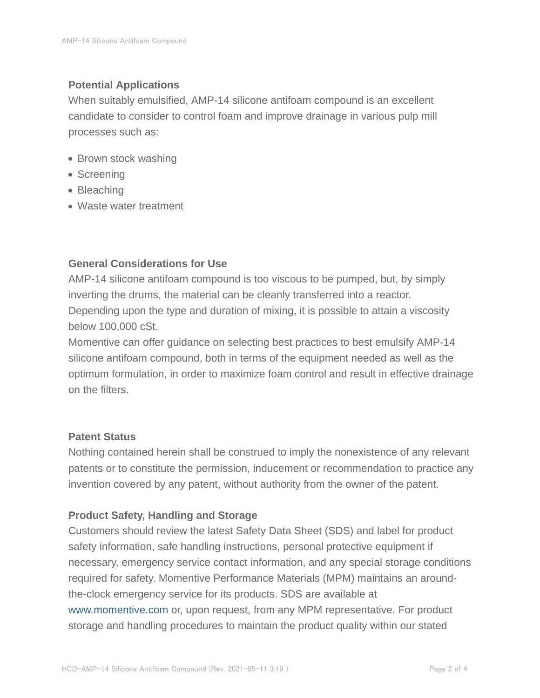## **Potential Applications**

When suitably emulsified, AMP-14 silicone antifoam compound is an excellent candidate to consider to control foam and improve drainage in various pulp mill processes such as:

- Brown stock washing
- Screening
- Bleaching
- Waste water treatment

## **General Considerations for Use**

AMP-14 silicone antifoam compound is too viscous to be pumped, but, by simply inverting the drums, the material can be cleanly transferred into a reactor. Depending upon the type and duration of mixing, it is possible to attain a viscosity below 100,000 cSt.

Momentive can offer guidance on selecting best practices to best emulsify AMP-14 silicone antifoam compound, both in terms of the equipment needed as well as the optimum formulation, in order to maximize foam control and result in effective drainage on the filters.

## **Patent Status**

Nothing contained herein shall be construed to imply the nonexistence of any relevant patents or to constitute the permission, inducement or recommendation to practice any invention covered by any patent, without authority from the owner of the patent.

## **Product Safety, Handling and Storage**

Customers should review the latest Safety Data Sheet (SDS) and label for product safety information, safe handling instructions, personal protective equipment if necessary, emergency service contact information, and any special storage conditions required for safety. Momentive Performance Materials (MPM) maintains an aroundthe-clock emergency service for its products. SDS are available at www.momentive.com or, upon request, from any MPM representative. For product storage and handling procedures to maintain the product quality within our stated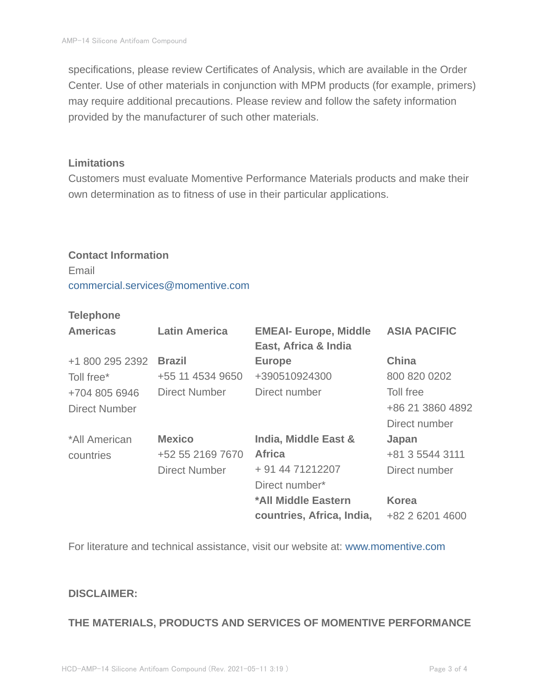specifications, please review Certificates of Analysis, which are available in the Order Center. Use of other materials in conjunction with MPM products (for example, primers) may require additional precautions. Please review and follow the safety information provided by the manufacturer of such other materials.

#### **Limitations**

Customers must evaluate Momentive Performance Materials products and make their own determination as to fitness of use in their particular applications.

#### **Contact Information**

Email commercial.services@momentive.com

#### **Telephone**

| <b>Americas</b>      | <b>Latin America</b> | <b>EMEAI- Europe, Middle</b> | <b>ASIA PACIFIC</b> |
|----------------------|----------------------|------------------------------|---------------------|
|                      |                      | East, Africa & India         |                     |
| +1 800 295 2392      | <b>Brazil</b>        | <b>Europe</b>                | <b>China</b>        |
| Toll free*           | +55 11 4534 9650     | +390510924300                | 800 820 0202        |
| +704 805 6946        | <b>Direct Number</b> | Direct number                | Toll free           |
| <b>Direct Number</b> |                      |                              | +86 21 3860 4892    |
|                      |                      |                              | Direct number       |
| *All American        | <b>Mexico</b>        | India, Middle East &         | Japan               |
| countries            | +52 55 2169 7670     | <b>Africa</b>                | +81 3 5544 3111     |
|                      | <b>Direct Number</b> | + 91 44 71212207             | Direct number       |
|                      |                      | Direct number*               |                     |
|                      |                      | *All Middle Eastern          | <b>Korea</b>        |
|                      |                      | countries, Africa, India,    | +82 2 6201 4600     |

For literature and technical assistance, visit our website at: www.momentive.com

## **DISCLAIMER:**

#### **THE MATERIALS, PRODUCTS AND SERVICES OF MOMENTIVE PERFORMANCE**